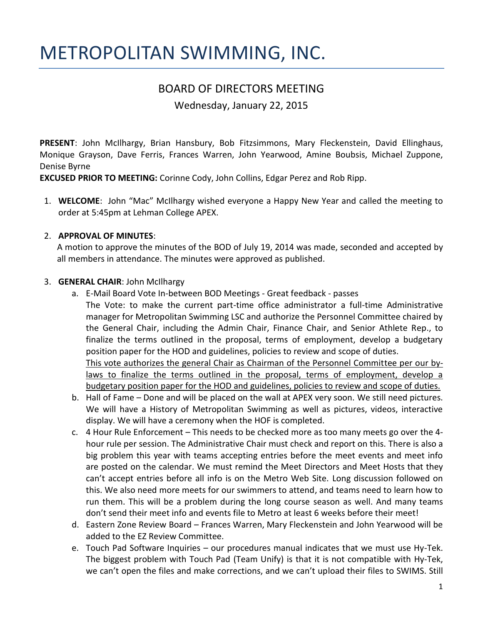# METROPOLITAN SWIMMING, INC.

# BOARD OF DIRECTORS MEETING

Wednesday, January 22, 2015

**PRESENT**: John McIlhargy, Brian Hansbury, Bob Fitzsimmons, Mary Fleckenstein, David Ellinghaus, Monique Grayson, Dave Ferris, Frances Warren, John Yearwood, Amine Boubsis, Michael Zuppone, Denise Byrne

**EXCUSED PRIOR TO MEETING:** Corinne Cody, John Collins, Edgar Perez and Rob Ripp.

1. **WELCOME**: John "Mac" McIlhargy wished everyone a Happy New Year and called the meeting to order at 5:45pm at Lehman College APEX.

#### 2. **APPROVAL OF MINUTES**:

A motion to approve the minutes of the BOD of July 19, 2014 was made, seconded and accepted by all members in attendance. The minutes were approved as published.

#### 3. **GENERAL CHAIR**: John McIlhargy

- a. E-Mail Board Vote In-between BOD Meetings Great feedback passes The Vote: to make the current part-time office administrator a full-time Administrative manager for Metropolitan Swimming LSC and authorize the Personnel Committee chaired by the General Chair, including the Admin Chair, Finance Chair, and Senior Athlete Rep., to finalize the terms outlined in the proposal, terms of employment, develop a budgetary position paper for the HOD and guidelines, policies to review and scope of duties. This vote authorizes the general Chair as Chairman of the Personnel Committee per our bylaws to finalize the terms outlined in the proposal, terms of employment, develop a budgetary position paper for the HOD and guidelines, policies to review and scope of duties.
- b. Hall of Fame Done and will be placed on the wall at APEX very soon. We still need pictures. We will have a History of Metropolitan Swimming as well as pictures, videos, interactive display. We will have a ceremony when the HOF is completed.
- c. 4 Hour Rule Enforcement This needs to be checked more as too many meets go over the 4 hour rule per session. The Administrative Chair must check and report on this. There is also a big problem this year with teams accepting entries before the meet events and meet info are posted on the calendar. We must remind the Meet Directors and Meet Hosts that they can't accept entries before all info is on the Metro Web Site. Long discussion followed on this. We also need more meets for our swimmers to attend, and teams need to learn how to run them. This will be a problem during the long course season as well. And many teams don't send their meet info and events file to Metro at least 6 weeks before their meet!
- d. Eastern Zone Review Board Frances Warren, Mary Fleckenstein and John Yearwood will be added to the EZ Review Committee.
- e. Touch Pad Software Inquiries our procedures manual indicates that we must use Hy-Tek. The biggest problem with Touch Pad (Team Unify) is that it is not compatible with Hy-Tek, we can't open the files and make corrections, and we can't upload their files to SWIMS. Still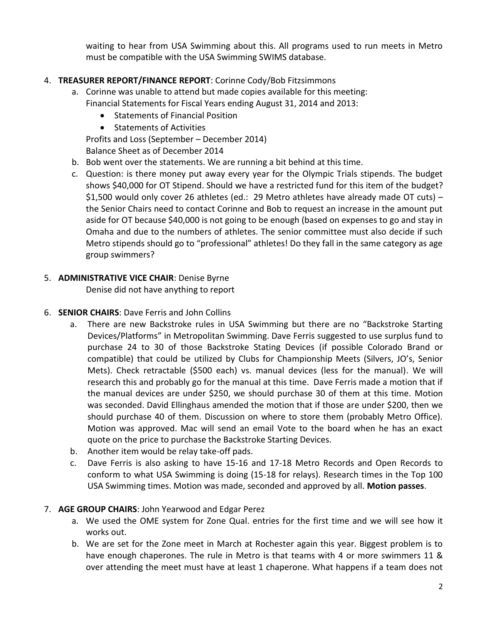waiting to hear from USA Swimming about this. All programs used to run meets in Metro must be compatible with the USA Swimming SWIMS database.

# 4. **TREASURER REPORT/FINANCE REPORT**: Corinne Cody/Bob Fitzsimmons

- a. Corinne was unable to attend but made copies available for this meeting: Financial Statements for Fiscal Years ending August 31, 2014 and 2013:
	- Statements of Financial Position
	- **•** Statements of Activities

Profits and Loss (September – December 2014)

Balance Sheet as of December 2014

- b. Bob went over the statements. We are running a bit behind at this time.
- c. Question: is there money put away every year for the Olympic Trials stipends. The budget shows \$40,000 for OT Stipend. Should we have a restricted fund for this item of the budget? \$1,500 would only cover 26 athletes (ed.: 29 Metro athletes have already made OT cuts) – the Senior Chairs need to contact Corinne and Bob to request an increase in the amount put aside for OT because \$40,000 is not going to be enough (based on expenses to go and stay in Omaha and due to the numbers of athletes. The senior committee must also decide if such Metro stipends should go to "professional" athletes! Do they fall in the same category as age group swimmers?

# 5. **ADMINISTRATIVE VICE CHAIR**: Denise Byrne

Denise did not have anything to report

#### 6. **SENIOR CHAIRS**: Dave Ferris and John Collins

- a. There are new Backstroke rules in USA Swimming but there are no "Backstroke Starting Devices/Platforms" in Metropolitan Swimming. Dave Ferris suggested to use surplus fund to purchase 24 to 30 of those Backstroke Stating Devices (if possible Colorado Brand or compatible) that could be utilized by Clubs for Championship Meets (Silvers, JO's, Senior Mets). Check retractable (\$500 each) vs. manual devices (less for the manual). We will research this and probably go for the manual at this time. Dave Ferris made a motion that if the manual devices are under \$250, we should purchase 30 of them at this time. Motion was seconded. David Ellinghaus amended the motion that if those are under \$200, then we should purchase 40 of them. Discussion on where to store them (probably Metro Office). Motion was approved. Mac will send an email Vote to the board when he has an exact quote on the price to purchase the Backstroke Starting Devices.
- b. Another item would be relay take-off pads.
- c. Dave Ferris is also asking to have 15-16 and 17-18 Metro Records and Open Records to conform to what USA Swimming is doing (15-18 for relays). Research times in the Top 100 USA Swimming times. Motion was made, seconded and approved by all. **Motion passes**.

#### 7. **AGE GROUP CHAIRS**: John Yearwood and Edgar Perez

- a. We used the OME system for Zone Qual. entries for the first time and we will see how it works out.
- b. We are set for the Zone meet in March at Rochester again this year. Biggest problem is to have enough chaperones. The rule in Metro is that teams with 4 or more swimmers 11 & over attending the meet must have at least 1 chaperone. What happens if a team does not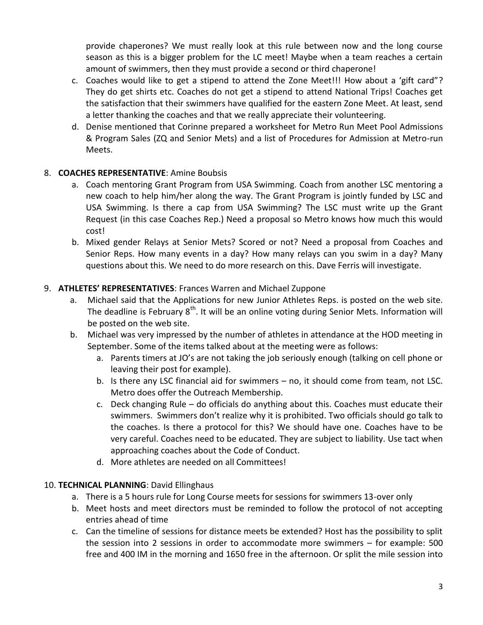provide chaperones? We must really look at this rule between now and the long course season as this is a bigger problem for the LC meet! Maybe when a team reaches a certain amount of swimmers, then they must provide a second or third chaperone!

- c. Coaches would like to get a stipend to attend the Zone Meet!!! How about a 'gift card"? They do get shirts etc. Coaches do not get a stipend to attend National Trips! Coaches get the satisfaction that their swimmers have qualified for the eastern Zone Meet. At least, send a letter thanking the coaches and that we really appreciate their volunteering.
- d. Denise mentioned that Corinne prepared a worksheet for Metro Run Meet Pool Admissions & Program Sales (ZQ and Senior Mets) and a list of Procedures for Admission at Metro-run Meets.

# 8. **COACHES REPRESENTATIVE**: Amine Boubsis

- a. Coach mentoring Grant Program from USA Swimming. Coach from another LSC mentoring a new coach to help him/her along the way. The Grant Program is jointly funded by LSC and USA Swimming. Is there a cap from USA Swimming? The LSC must write up the Grant Request (in this case Coaches Rep.) Need a proposal so Metro knows how much this would cost!
- b. Mixed gender Relays at Senior Mets? Scored or not? Need a proposal from Coaches and Senior Reps. How many events in a day? How many relays can you swim in a day? Many questions about this. We need to do more research on this. Dave Ferris will investigate.

# 9. **ATHLETES' REPRESENTATIVES**: Frances Warren and Michael Zuppone

- a. Michael said that the Applications for new Junior Athletes Reps. is posted on the web site. The deadline is February  $8<sup>th</sup>$ . It will be an online voting during Senior Mets. Information will be posted on the web site.
- b. Michael was very impressed by the number of athletes in attendance at the HOD meeting in September. Some of the items talked about at the meeting were as follows:
	- a. Parents timers at JO's are not taking the job seriously enough (talking on cell phone or leaving their post for example).
	- b. Is there any LSC financial aid for swimmers no, it should come from team, not LSC. Metro does offer the Outreach Membership.
	- c. Deck changing Rule do officials do anything about this. Coaches must educate their swimmers. Swimmers don't realize why it is prohibited. Two officials should go talk to the coaches. Is there a protocol for this? We should have one. Coaches have to be very careful. Coaches need to be educated. They are subject to liability. Use tact when approaching coaches about the Code of Conduct.
	- d. More athletes are needed on all Committees!

#### 10. **TECHNICAL PLANNING**: David Ellinghaus

- a. There is a 5 hours rule for Long Course meets for sessions for swimmers 13-over only
- b. Meet hosts and meet directors must be reminded to follow the protocol of not accepting entries ahead of time
- c. Can the timeline of sessions for distance meets be extended? Host has the possibility to split the session into 2 sessions in order to accommodate more swimmers – for example: 500 free and 400 IM in the morning and 1650 free in the afternoon. Or split the mile session into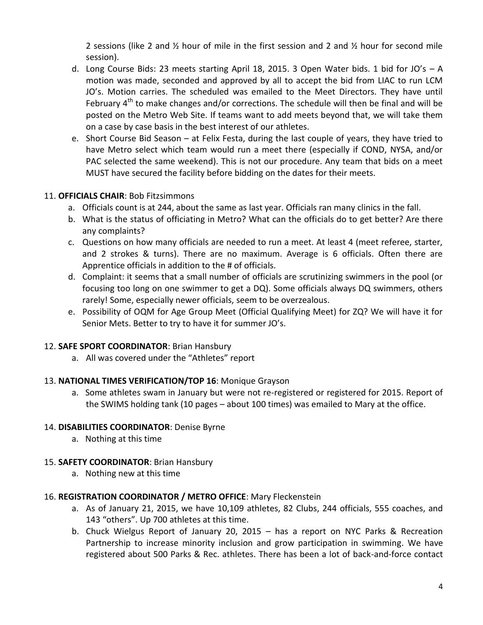2 sessions (like 2 and  $\frac{1}{2}$  hour of mile in the first session and 2 and  $\frac{1}{2}$  hour for second mile session).

- d. Long Course Bids: 23 meets starting April 18, 2015. 3 Open Water bids. 1 bid for JO's A motion was made, seconded and approved by all to accept the bid from LIAC to run LCM JO's. Motion carries. The scheduled was emailed to the Meet Directors. They have until February  $4<sup>th</sup>$  to make changes and/or corrections. The schedule will then be final and will be posted on the Metro Web Site. If teams want to add meets beyond that, we will take them on a case by case basis in the best interest of our athletes.
- e. Short Course Bid Season at Felix Festa, during the last couple of years, they have tried to have Metro select which team would run a meet there (especially if COND, NYSA, and/or PAC selected the same weekend). This is not our procedure. Any team that bids on a meet MUST have secured the facility before bidding on the dates for their meets.

#### 11. **OFFICIALS CHAIR**: Bob Fitzsimmons

- a. Officials count is at 244, about the same as last year. Officials ran many clinics in the fall.
- b. What is the status of officiating in Metro? What can the officials do to get better? Are there any complaints?
- c. Questions on how many officials are needed to run a meet. At least 4 (meet referee, starter, and 2 strokes & turns). There are no maximum. Average is 6 officials. Often there are Apprentice officials in addition to the # of officials.
- d. Complaint: it seems that a small number of officials are scrutinizing swimmers in the pool (or focusing too long on one swimmer to get a DQ). Some officials always DQ swimmers, others rarely! Some, especially newer officials, seem to be overzealous.
- e. Possibility of OQM for Age Group Meet (Official Qualifying Meet) for ZQ? We will have it for Senior Mets. Better to try to have it for summer JO's.

#### 12. **SAFE SPORT COORDINATOR**: Brian Hansbury

a. All was covered under the "Athletes" report

#### 13. **NATIONAL TIMES VERIFICATION/TOP 16**: Monique Grayson

a. Some athletes swam in January but were not re-registered or registered for 2015. Report of the SWIMS holding tank (10 pages – about 100 times) was emailed to Mary at the office.

#### 14. **DISABILITIES COORDINATOR**: Denise Byrne

a. Nothing at this time

#### 15. **SAFETY COORDINATOR**: Brian Hansbury

a. Nothing new at this time

#### 16. **REGISTRATION COORDINATOR / METRO OFFICE**: Mary Fleckenstein

- a. As of January 21, 2015, we have 10,109 athletes, 82 Clubs, 244 officials, 555 coaches, and 143 "others". Up 700 athletes at this time.
- b. Chuck Wielgus Report of January 20, 2015 has a report on NYC Parks & Recreation Partnership to increase minority inclusion and grow participation in swimming. We have registered about 500 Parks & Rec. athletes. There has been a lot of back-and-force contact